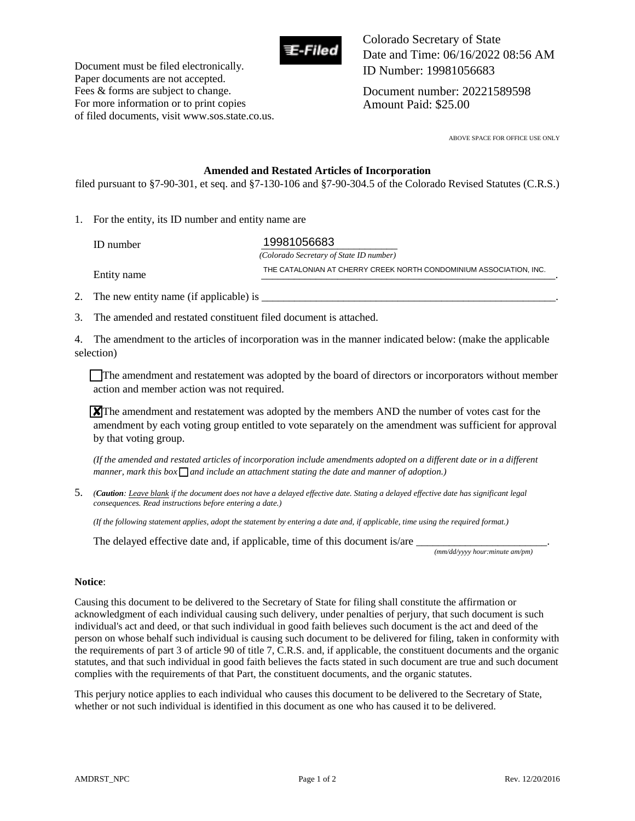

Document must be filed electronically. Paper documents are not accepted. Fees & forms are subject to change. For more information or to print copies of filed documents, visit www.sos.state.co.us. Colorado Secretary of State Date and Time: 06/16/2022 08:56 AM ID Number: 19981056683

Document number: 20221589598 Amount Paid: \$25.00

ABOVE SPACE FOR OFFICE USE ONLY

#### **Amended and Restated Articles of Incorporation**

filed pursuant to §7-90-301, et seq. and §7-130-106 and §7-90-304.5 of the Colorado Revised Statutes (C.R.S.)

1. For the entity, its ID number and entity name are

ID number **19981056683**  *(Colorado Secretary of State ID number)* Entity name THE CATALONIAN AT CHERRY CREEK NORTH CONDOMINIUM ASSOCIATION, INC.<br>————————————————————-

2. The new entity name (if applicable) is  $\Box$ 

3. The amended and restated constituent filed document is attached.

4. The amendment to the articles of incorporation was in the manner indicated below: (make the applicable selection)

The amendment and restatement was adopted by the board of directors or incorporators without member action and member action was not required.

 $\chi$ <sup>T</sup>he amendment and restatement was adopted by the members AND the number of votes cast for the amendment by each voting group entitled to vote separately on the amendment was sufficient for approval by that voting group.

*(If the amended and restated articles of incorporation include amendments adopted on a different date or in a different*  manner, mark this box  $\Box$  and include an attachment stating the date and manner of adoption.)

5. *(Caution: Leave blank if the document does not have a delayed effective date. Stating a delayed effective date has significant legal consequences. Read instructions before entering a date.)* 

*(If the following statement applies, adopt the statement by entering a date and, if applicable, time using the required format.)* 

The delayed effective date and, if applicable, time of this document is/are  $\overline{\phantom{a}}$ 

 *(mm/dd/yyyy hour:minute am/pm)* 

#### **Notice**:

Causing this document to be delivered to the Secretary of State for filing shall constitute the affirmation or acknowledgment of each individual causing such delivery, under penalties of perjury, that such document is such individual's act and deed, or that such individual in good faith believes such document is the act and deed of the person on whose behalf such individual is causing such document to be delivered for filing, taken in conformity with the requirements of part 3 of article 90 of title 7, C.R.S. and, if applicable, the constituent documents and the organic statutes, and that such individual in good faith believes the facts stated in such document are true and such document complies with the requirements of that Part, the constituent documents, and the organic statutes.

This perjury notice applies to each individual who causes this document to be delivered to the Secretary of State, whether or not such individual is identified in this document as one who has caused it to be delivered.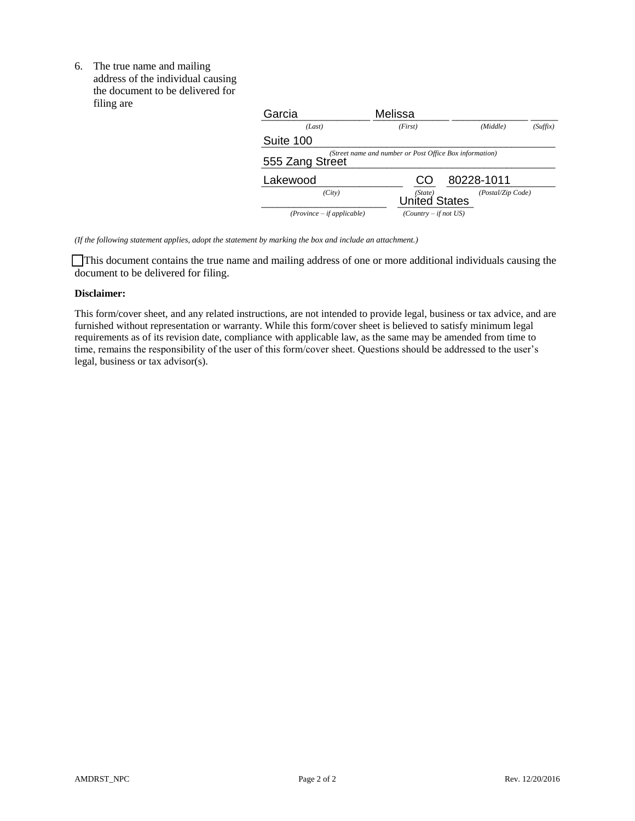6. The true name and mailing address of the individual causing the document to be delivered for filing are

| THILLE are | Garcia                                                                     | Melissa                         |                   |          |
|------------|----------------------------------------------------------------------------|---------------------------------|-------------------|----------|
|            | (Last)                                                                     | (First)                         | (Middle)          | (Suffix) |
|            | Suite 100                                                                  |                                 |                   |          |
|            | (Street name and number or Post Office Box information)<br>555 Zang Street |                                 |                   |          |
|            | Lakewood                                                                   | CO                              | 80228-1011        |          |
|            | (City)                                                                     | (State)<br><b>United States</b> | (Postal/Zip Code) |          |
|            | $(Province - if applicable)$                                               | $(Country - if not US)$         |                   |          |

*(If the following statement applies, adopt the statement by marking the box and include an attachment.)* 

 This document contains the true name and mailing address of one or more additional individuals causing the document to be delivered for filing.

#### **Disclaimer:**

This form/cover sheet, and any related instructions, are not intended to provide legal, business or tax advice, and are furnished without representation or warranty. While this form/cover sheet is believed to satisfy minimum legal requirements as of its revision date, compliance with applicable law, as the same may be amended from time to time, remains the responsibility of the user of this form/cover sheet. Questions should be addressed to the user's legal, business or tax advisor(s).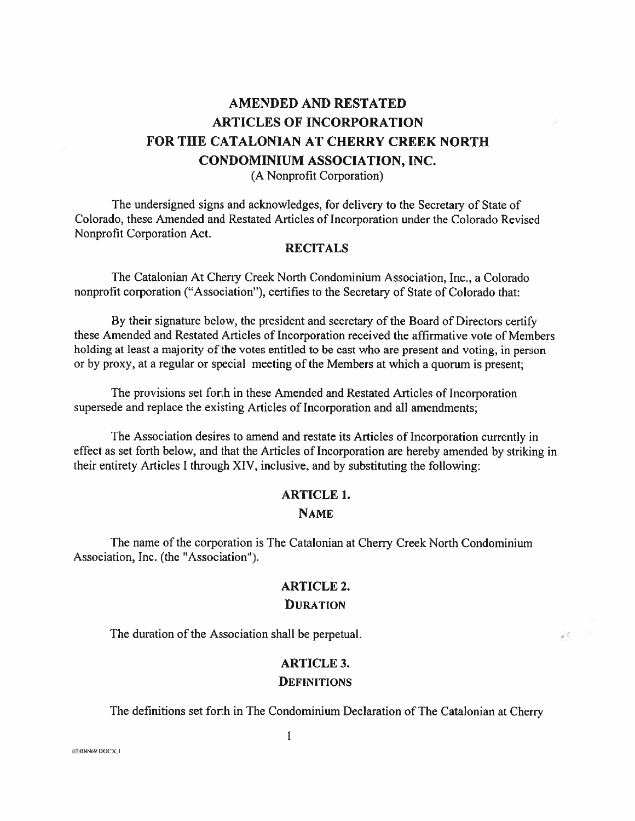# **AMENDED AND RESTATED ARTICLES OF INCORPORATION** FOR THE CATALONIAN AT CHERRY CREEK NORTH **CONDOMINIUM ASSOCIATION, INC.** (A Nonprofit Corporation)

The undersigned signs and acknowledges, for delivery to the Secretary of State of Colorado, these Amended and Restated Articles of Incorporation under the Colorado Revised Nonprofit Corporation Act.

#### **RECITALS**

The Catalonian At Cherry Creek North Condominium Association, Inc., a Colorado nonprofit corporation ("Association"), certifies to the Secretary of State of Colorado that:

By their signature below, the president and secretary of the Board of Directors certify these Amended and Restated Articles of Incorporation received the affirmative vote of Members holding at least a majority of the votes entitled to be cast who are present and voting, in person or by proxy, at a regular or special meeting of the Members at which a quorum is present;

The provisions set forth in these Amended and Restated Articles of Incorporation supersede and replace the existing Articles of Incorporation and all amendments;

The Association desires to amend and restate its Articles of Incorporation currently in effect as set forth below, and that the Articles of Incorporation are hereby amended by striking in their entirety Articles I through XIV, inclusive, and by substituting the following:

## **ARTICLE 1. NAME**

The name of the corporation is The Catalonian at Cherry Creek North Condominium Association, Inc. (the "Association").

### **ARTICLE 2.**

#### **DURATION**

The duration of the Association shall be perpetual.

## **ARTICLE 3. DEFINITIONS**

The definitions set forth in The Condominium Declaration of The Catalonian at Cherry

 $\label{eq:2.1} \begin{array}{cccccccccc} \ddots & & & \ddots \end{array}$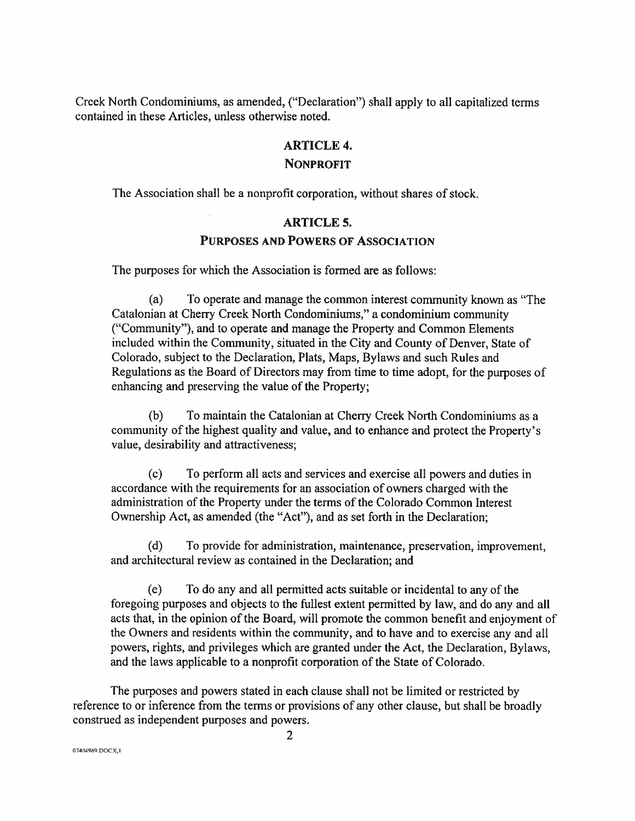Creek North Condominiums, as amended, ("Declaration") shall apply to all capitalized terms contained in these Articles, unless otherwise noted.

## **ARTICLE 4. NONPROFIT**

The Association shall be a nonprofit corporation, without shares of stock.

## **ARTICLE 5.**

#### **PURPOSES AND POWERS OF ASSOCIATION**

The purposes for which the Association is formed are as follows:

 $(a)$ To operate and manage the common interest community known as "The Catalonian at Cherry Creek North Condominiums," a condominium community ("Community"), and to operate and manage the Property and Common Elements included within the Community, situated in the City and County of Denver, State of Colorado, subject to the Declaration, Plats, Maps, Bylaws and such Rules and Regulations as the Board of Directors may from time to time adopt, for the purposes of enhancing and preserving the value of the Property;

 $(b)$ To maintain the Catalonian at Cherry Creek North Condominiums as a community of the highest quality and value, and to enhance and protect the Property's value, desirability and attractiveness;

To perform all acts and services and exercise all powers and duties in  $(c)$ accordance with the requirements for an association of owners charged with the administration of the Property under the terms of the Colorado Common Interest Ownership Act, as amended (the "Act"), and as set forth in the Declaration;

To provide for administration, maintenance, preservation, improvement,  $(d)$ and architectural review as contained in the Declaration; and

To do any and all permitted acts suitable or incidental to any of the  $(e)$ foregoing purposes and objects to the fullest extent permitted by law, and do any and all acts that, in the opinion of the Board, will promote the common benefit and enjoyment of the Owners and residents within the community, and to have and to exercise any and all powers, rights, and privileges which are granted under the Act, the Declaration, Bylaws, and the laws applicable to a nonprofit corporation of the State of Colorado.

The purposes and powers stated in each clause shall not be limited or restricted by reference to or inference from the terms or provisions of any other clause, but shall be broadly construed as independent purposes and powers.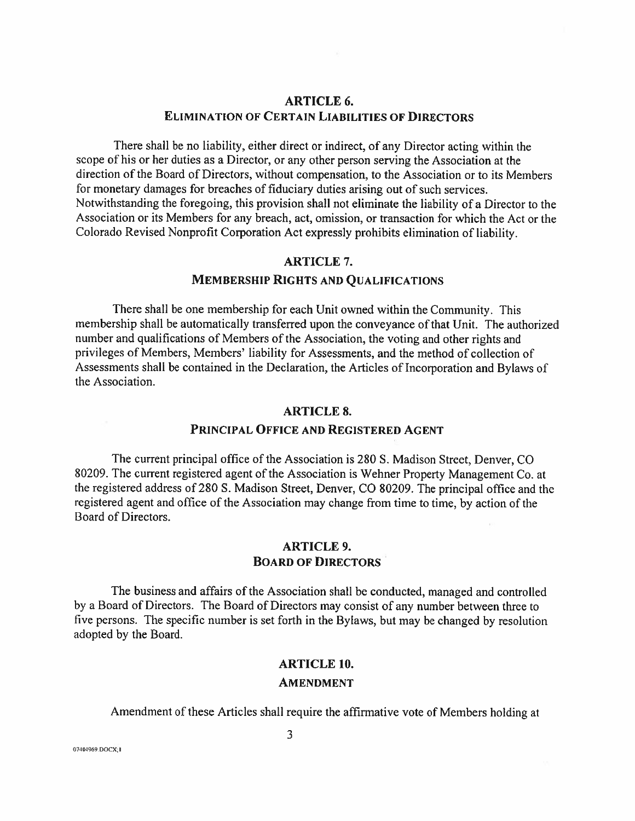## **ARTICLE 6. ELIMINATION OF CERTAIN LIABILITIES OF DIRECTORS**

There shall be no liability, either direct or indirect, of any Director acting within the scope of his or her duties as a Director, or any other person serving the Association at the direction of the Board of Directors, without compensation, to the Association or to its Members for monetary damages for breaches of fiduciary duties arising out of such services. Notwithstanding the foregoing, this provision shall not eliminate the liability of a Director to the Association or its Members for any breach, act, omission, or transaction for which the Act or the Colorado Revised Nonprofit Corporation Act expressly prohibits elimination of liability.

#### **ARTICLE 7.**

### **MEMBERSHIP RIGHTS AND QUALIFICATIONS**

There shall be one membership for each Unit owned within the Community. This membership shall be automatically transferred upon the conveyance of that Unit. The authorized number and qualifications of Members of the Association, the voting and other rights and privileges of Members, Members' liability for Assessments, and the method of collection of Assessments shall be contained in the Declaration, the Articles of Incorporation and Bylaws of the Association.

#### **ARTICLE 8.**

### PRINCIPAL OFFICE AND REGISTERED AGENT

The current principal office of the Association is 280 S. Madison Street, Denver, CO 80209. The current registered agent of the Association is Wehner Property Management Co. at the registered address of 280 S. Madison Street, Denver, CO 80209. The principal office and the registered agent and office of the Association may change from time to time, by action of the Board of Directors.

### **ARTICLE 9. BOARD OF DIRECTORS**

The business and affairs of the Association shall be conducted, managed and controlled by a Board of Directors. The Board of Directors may consist of any number between three to five persons. The specific number is set forth in the Bylaws, but may be changed by resolution adopted by the Board.

#### **ARTICLE 10.**

#### **AMENDMENT**

Amendment of these Articles shall require the affirmative vote of Members holding at